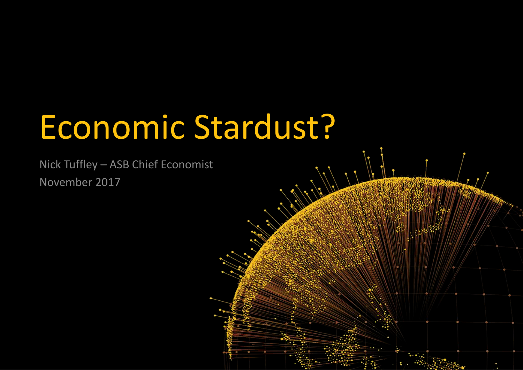# Economic Stardust?

Nick Tuffley – ASB Chief Economist November 2017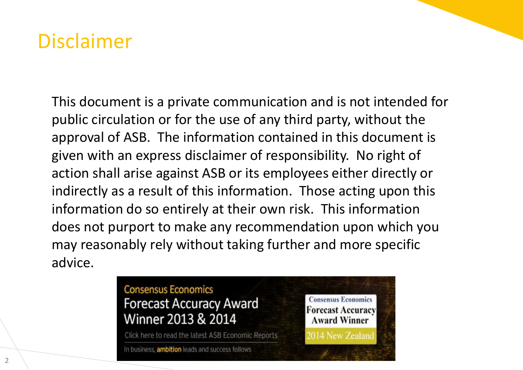#### Disclaimer

This document is a private communication and is not intended for public circulation or for the use of any third party, without the approval of ASB. The information contained in this document is given with an express disclaimer of responsibility. No right of action shall arise against ASB or its employees either directly or indirectly as a result of this information. Those acting upon this information do so entirely at their own risk. This information does not purport to make any recommendation upon which you may reasonably rely without taking further and more specific advice.

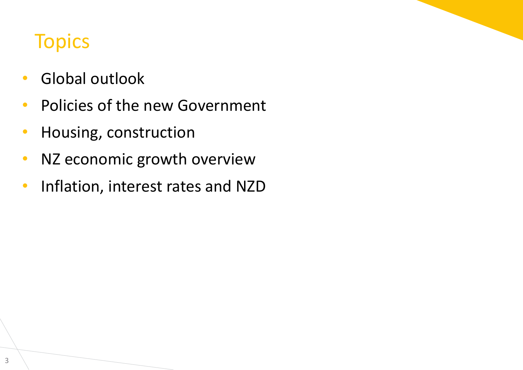#### **Topics**

- Global outlook
- Policies of the new Government
- Housing, construction
- NZ economic growth overview
- Inflation, interest rates and NZD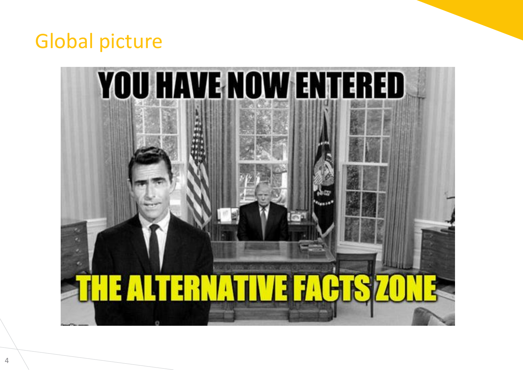## Global picture

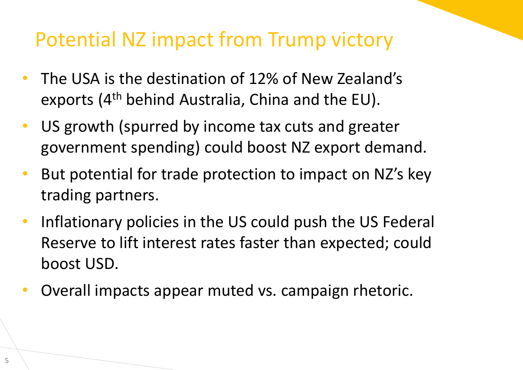## Potential NZ impact from Trump victory

- The USA is the destination of 12% of New Zealand's exports (4th behind Australia, China and the EU).
- US growth (spurred by income tax cuts and greater government spending) could boost NZ export demand.
- But potential for trade protection to impact on NZ's key trading partners.
- Inflationary policies in the US could push the US Federal Reserve to lift interest rates faster than expected; could boost USD.
- Overall impacts appear muted vs. campaign rhetoric.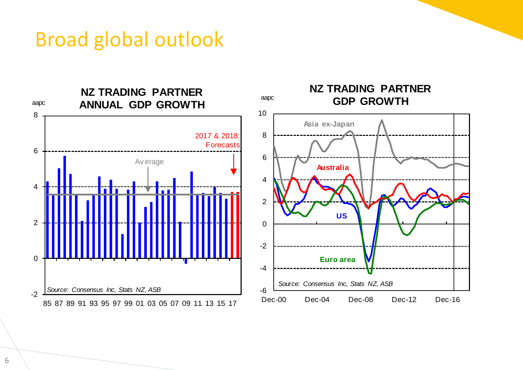#### Broad global outlook

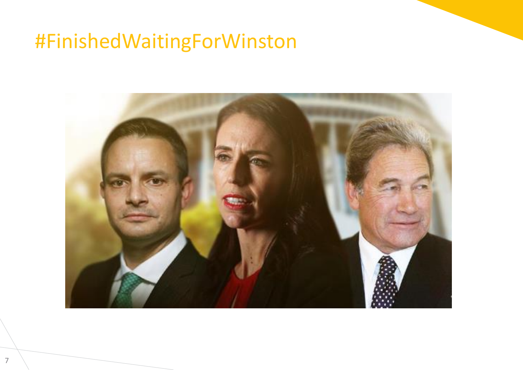## #FinishedWaitingForWinston

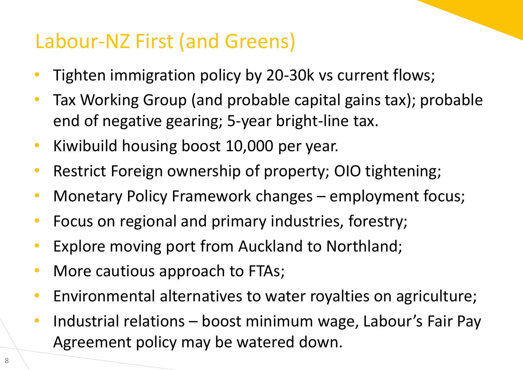## Labour-NZ First (and Greens)

- Tighten immigration policy by 20-30k vs current flows;
- Tax Working Group (and probable capital gains tax); probable end of negative gearing; 5-year bright-line tax.
- Kiwibuild housing boost 10,000 per year.
- Restrict Foreign ownership of property; OIO tightening;
- Monetary Policy Framework changes employment focus;
- Focus on regional and primary industries, forestry;
- Explore moving port from Auckland to Northland;
- More cautious approach to FTAs;
- Environmental alternatives to water royalties on agriculture;
- Industrial relations boost minimum wage, Labour's Fair Pay Agreement policy may be watered down.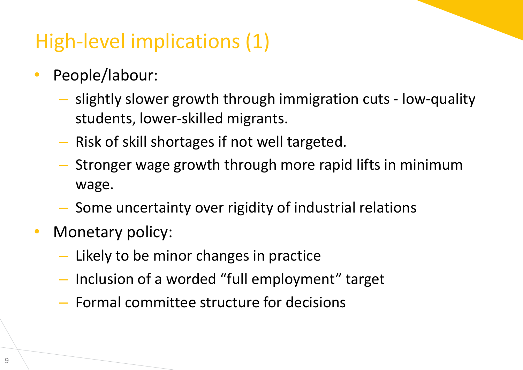# High-level implications (1)

- People/labour:
	- slightly slower growth through immigration cuts low-quality students, lower-skilled migrants.
	- Risk of skill shortages if not well targeted.
	- Stronger wage growth through more rapid lifts in minimum wage.
	- Some uncertainty over rigidity of industrial relations
- Monetary policy:
	- Likely to be minor changes in practice
	- Inclusion of a worded "full employment" target
	- Formal committee structure for decisions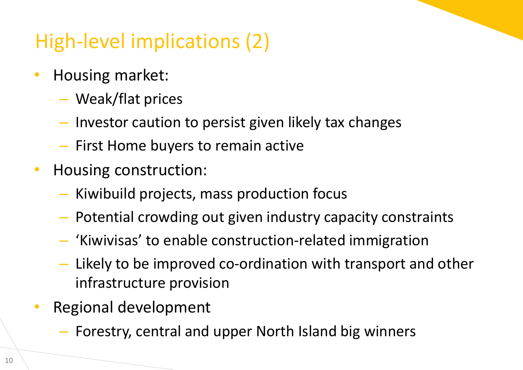# High-level implications (2)

- Housing market:
	- Weak/flat prices
	- Investor caution to persist given likely tax changes
	- First Home buyers to remain active
- Housing construction:
	- Kiwibuild projects, mass production focus
	- Potential crowding out given industry capacity constraints
	- 'Kiwivisas' to enable construction-related immigration
	- Likely to be improved co-ordination with transport and other infrastructure provision
- Regional development
	- Forestry, central and upper North Island big winners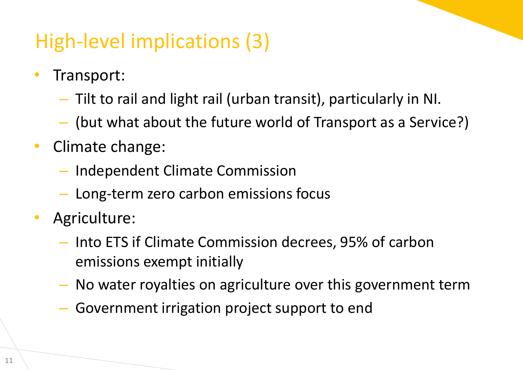# High-level implications (3)

- Transport:
	- Tilt to rail and light rail (urban transit), particularly in NI.
	- (but what about the future world of Transport as a Service?)
- Climate change:
	- Independent Climate Commission
	- Long-term zero carbon emissions focus
- Agriculture:
	- Into ETS if Climate Commission decrees, 95% of carbon emissions exempt initially
	- No water royalties on agriculture over this government term
	- Government irrigation project support to end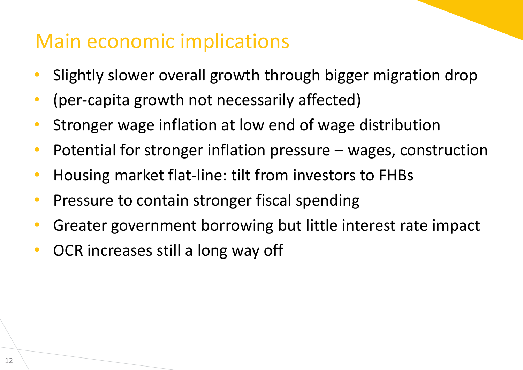#### Main economic implications

- Slightly slower overall growth through bigger migration drop
- (per-capita growth not necessarily affected)
- Stronger wage inflation at low end of wage distribution
- Potential for stronger inflation pressure wages, construction
- Housing market flat-line: tilt from investors to FHBs
- Pressure to contain stronger fiscal spending
- Greater government borrowing but little interest rate impact
- OCR increases still a long way off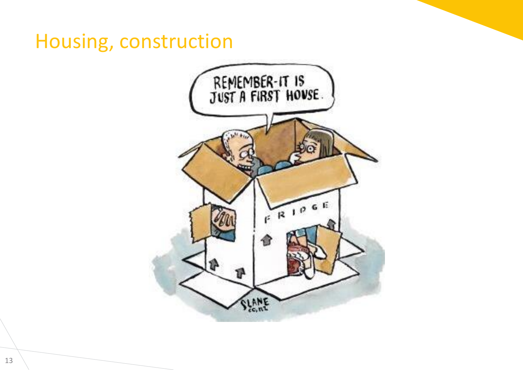#### Housing, construction

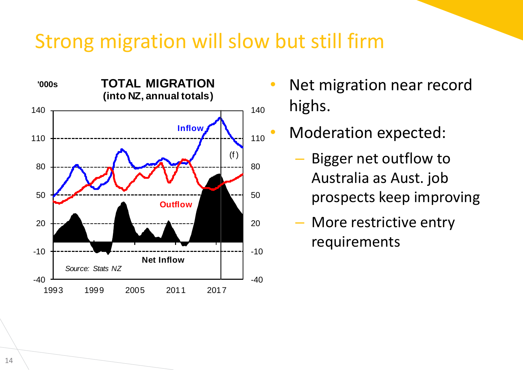#### Strong migration will slow but still firm



- Net migration near record highs.
- Moderation expected:
	- Bigger net outflow to Australia as Aust. job prospects keep improving
	- More restrictive entry requirements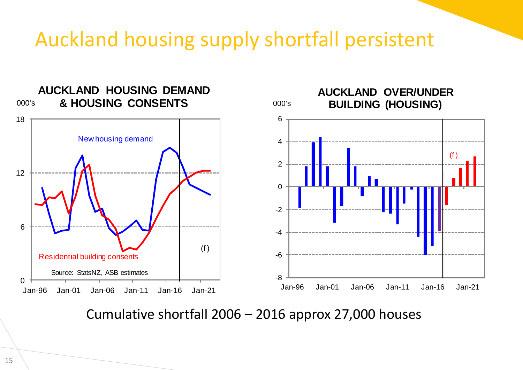#### Auckland housing supply shortfall persistent



Cumulative shortfall 2006 – 2016 approx 27,000 houses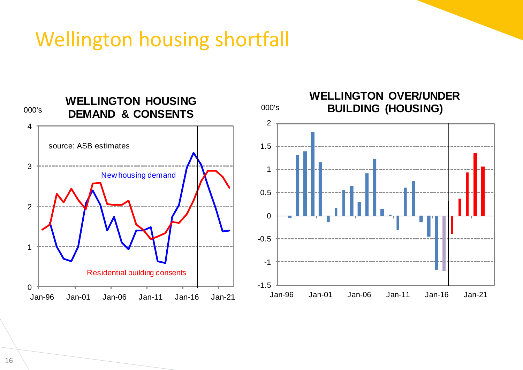## Wellington housing shortfall

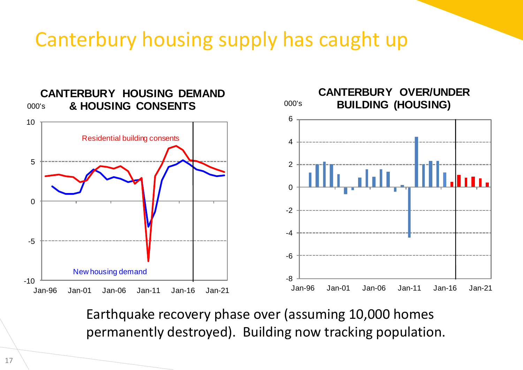## Canterbury housing supply has caught up



Earthquake recovery phase over (assuming 10,000 homes permanently destroyed). Building now tracking population.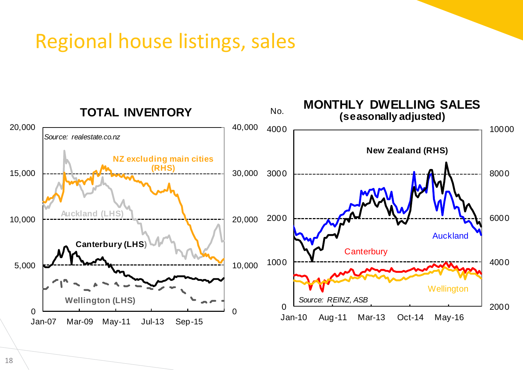#### Regional house listings, sales

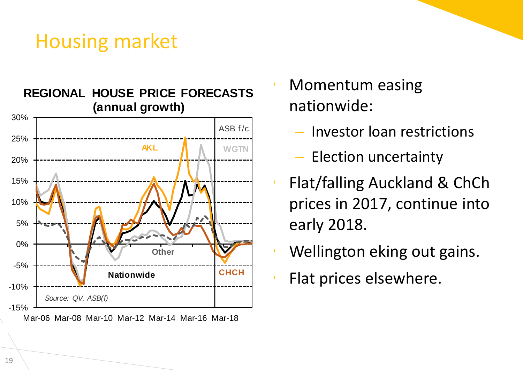#### Housing market



- Momentum easing nationwide:
	- Investor loan restrictions
	- Election uncertainty
- Flat/falling Auckland & ChCh prices in 2017, continue into early 2018.
- Wellington eking out gains.
- Flat prices elsewhere.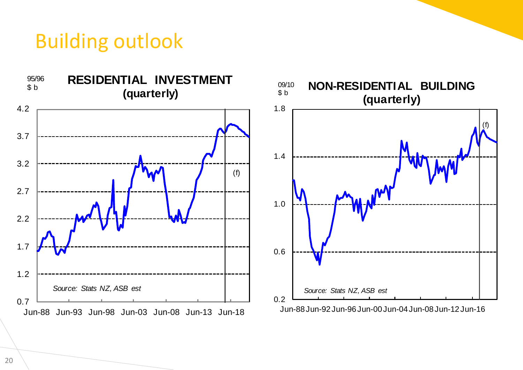#### Building outlook



20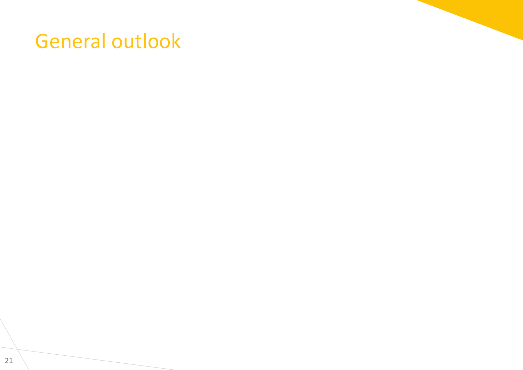#### General outlook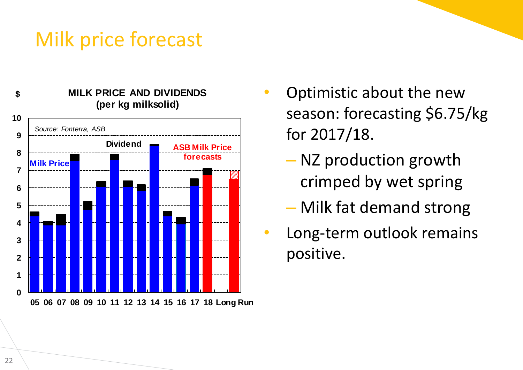## Milk price forecast



- Optimistic about the new season: forecasting \$6.75/kg for 2017/18.
	- NZ production growth crimped by wet spring
	- Milk fat demand strong
- Long-term outlook remains positive.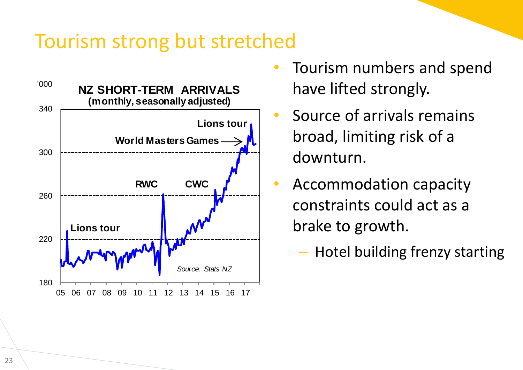#### Tourism strong but stretched



- Tourism numbers and spend have lifted strongly.
- Source of arrivals remains broad, limiting risk of a downturn.
- Accommodation capacity constraints could act as a brake to growth.
	- Hotel building frenzy starting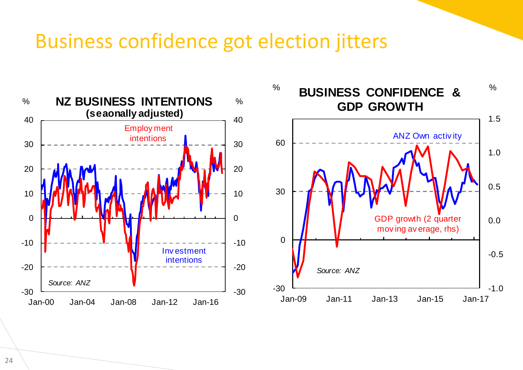#### Business confidence got election jitters



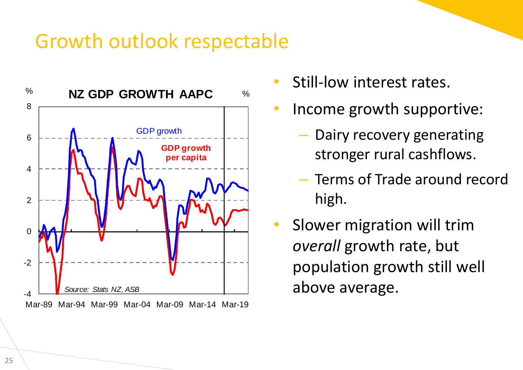#### Growth outlook respectable



- Still-low interest rates.
- Income growth supportive:
	- Dairy recovery generating stronger rural cashflows.
	- Terms of Trade around record high.
- Slower migration will trim *overall* growth rate, but population growth still well above average.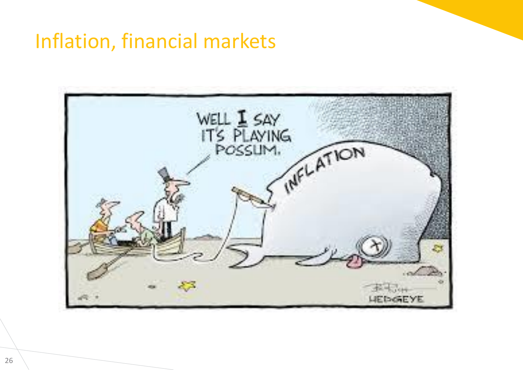### Inflation, financial markets

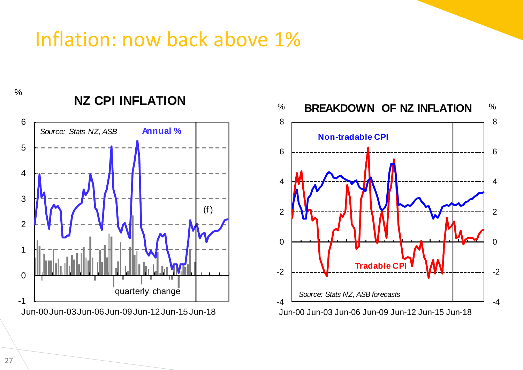## Inflation: now back above 1%

 $\frac{0}{0}$ 



Jun-00Jun-03Jun-06Jun-09Jun-12Jun-15Jun-18

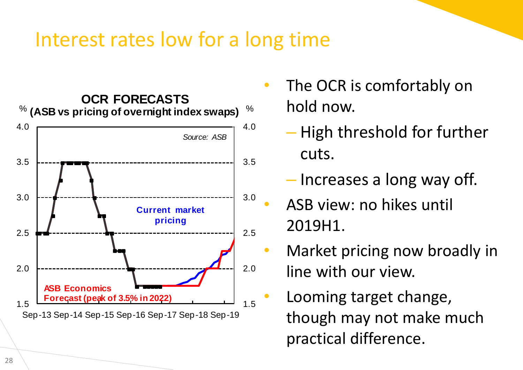#### Interest rates low for a long time



- The OCR is comfortably on hold now.
	- High threshold for further cuts.
	- Increases a long way off.
	- ASB view: no hikes until 2019H1.
- Market pricing now broadly in line with our view.
- Looming target change, though may not make much practical difference.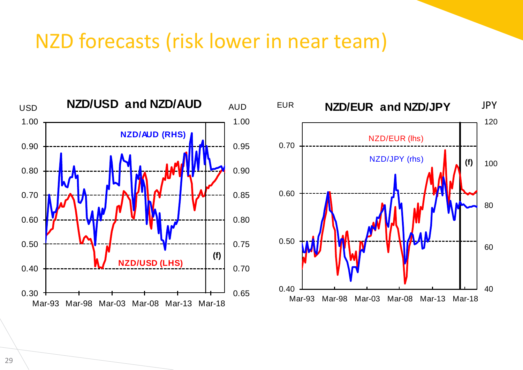#### NZD forecasts (risk lower in near team)